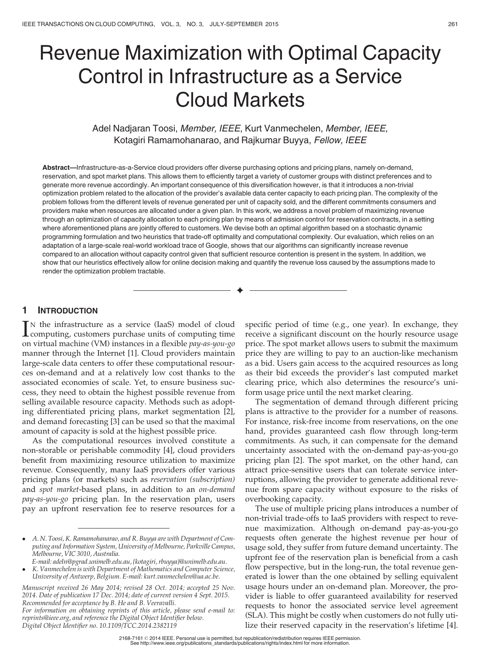# Revenue Maximization with Optimal Capacity Control in Infrastructure as a Service Cloud Markets

Adel Nadjaran Toosi, Member, IEEE, Kurt Vanmechelen, Member, IEEE, Kotagiri Ramamohanarao, and Rajkumar Buyya, Fellow, IEEE

Abstract—Infrastructure-as-a-Service cloud providers offer diverse purchasing options and pricing plans, namely on-demand, reservation, and spot market plans. This allows them to efficiently target a variety of customer groups with distinct preferences and to generate more revenue accordingly. An important consequence of this diversification however, is that it introduces a non-trivial optimization problem related to the allocation of the provider's available data center capacity to each pricing plan. The complexity of the problem follows from the different levels of revenue generated per unit of capacity sold, and the different commitments consumers and providers make when resources are allocated under a given plan. In this work, we address a novel problem of maximizing revenue through an optimization of capacity allocation to each pricing plan by means of admission control for reservation contracts, in a setting where aforementioned plans are jointly offered to customers. We devise both an optimal algorithm based on a stochastic dynamic programming formulation and two heuristics that trade-off optimality and computational complexity. Our evaluation, which relies on an adaptation of a large-scale real-world workload trace of Google, shows that our algorithms can significantly increase revenue compared to an allocation without capacity control given that sufficient resource contention is present in the system. In addition, we show that our heuristics effectively allow for online decision making and quantify the revenue loss caused by the assumptions made to render the optimization problem tractable.

 $\blacklozenge$ 

# 1 INTRODUCTION

 $\prod_{n=1}^{\infty}$  is the infrastructure as a service (IaaS) model of cloud computing, customers purchase units of computing time computing, customers purchase units of computing time on virtual machine (VM) instances in a flexible pay-as-you-go manner through the Internet [1]. Cloud providers maintain large-scale data centers to offer these computational resources on-demand and at a relatively low cost thanks to the associated economies of scale. Yet, to ensure business success, they need to obtain the highest possible revenue from selling available resource capacity. Methods such as adopting differentiated pricing plans, market segmentation [2], and demand forecasting [3] can be used so that the maximal amount of capacity is sold at the highest possible price.

As the computational resources involved constitute a non-storable or perishable commodity [4], cloud providers benefit from maximizing resource utilization to maximize revenue. Consequently, many IaaS providers offer various pricing plans (or markets) such as reservation (subscription) and spot market-based plans, in addition to an on-demand pay-as-you-go pricing plan. In the reservation plan, users pay an upfront reservation fee to reserve resources for a

- E-mail: adeln@pgrad.unimelb.edu.au, {kotagiri, rbuyya}@unimelb.edu.au. K. Vanmechelen is with Department of Mathematics and Computer Science,
- University of Antwerp, Belgium. E-mail: kurt.vanmechelen@ua.ac.be.

Manuscript received 26 May 2014; revised 28 Oct. 2014; accepted 25 Nov. 2014. Date of publication 17 Dec. 2014; date of current version 4 Sept. 2015. Recommended for acceptance by B. He and B. Veeravalli.

For information on obtaining reprints of this article, please send e-mail to: reprints@ieee.org, and reference the Digital Object Identifier below. Digital Object Identifier no. 10.1109/TCC.2014.2382119

specific period of time (e.g., one year). In exchange, they receive a significant discount on the hourly resource usage price. The spot market allows users to submit the maximum price they are willing to pay to an auction-like mechanism as a bid. Users gain access to the acquired resources as long as their bid exceeds the provider's last computed market clearing price, which also determines the resource's uniform usage price until the next market clearing.

The segmentation of demand through different pricing plans is attractive to the provider for a number of reasons. For instance, risk-free income from reservations, on the one hand, provides guaranteed cash flow through long-term commitments. As such, it can compensate for the demand uncertainty associated with the on-demand pay-as-you-go pricing plan [2]. The spot market, on the other hand, can attract price-sensitive users that can tolerate service interruptions, allowing the provider to generate additional revenue from spare capacity without exposure to the risks of overbooking capacity.

The use of multiple pricing plans introduces a number of non-trivial trade-offs to IaaS providers with respect to revenue maximization. Although on-demand pay-as-you-go requests often generate the highest revenue per hour of usage sold, they suffer from future demand uncertainty. The upfront fee of the reservation plan is beneficial from a cash flow perspective, but in the long-run, the total revenue generated is lower than the one obtained by selling equivalent usage hours under an on-demand plan. Moreover, the provider is liable to offer guaranteed availability for reserved requests to honor the associated service level agreement (SLA). This might be costly when customers do not fully utilize their reserved capacity in the reservation's lifetime [4].

A. N. Toosi, K. Ramamohanarao, and R. Buyya are with Department of Com-puting and Information System, University of Melbourne, Parkville Campus, Melbourne, VIC 3010, Australia.

<sup>2168-7161</sup> 2014 IEEE. Personal use is permitted, but republication/redistribution requires IEEE permission. See http://www.ieee.org/publications\_standards/publications/rights/index.html for more information.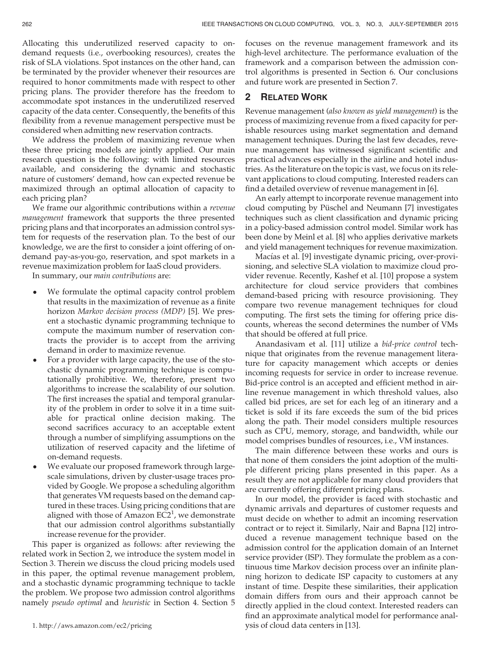Allocating this underutilized reserved capacity to ondemand requests (i.e., overbooking resources), creates the risk of SLA violations. Spot instances on the other hand, can be terminated by the provider whenever their resources are required to honor commitments made with respect to other pricing plans. The provider therefore has the freedom to accommodate spot instances in the underutilized reserved capacity of the data center. Consequently, the benefits of this flexibility from a revenue management perspective must be considered when admitting new reservation contracts.

We address the problem of maximizing revenue when these three pricing models are jointly applied. Our main research question is the following: with limited resources available, and considering the dynamic and stochastic nature of customers' demand, how can expected revenue be maximized through an optimal allocation of capacity to each pricing plan?

We frame our algorithmic contributions within a revenue management framework that supports the three presented pricing plans and that incorporates an admission control system for requests of the reservation plan. To the best of our knowledge, we are the first to consider a joint offering of ondemand pay-as-you-go, reservation, and spot markets in a revenue maximization problem for IaaS cloud providers.

In summary, our main contributions are:

- We formulate the optimal capacity control problem that results in the maximization of revenue as a finite horizon Markov decision process (MDP) [5]. We present a stochastic dynamic programming technique to compute the maximum number of reservation contracts the provider is to accept from the arriving demand in order to maximize revenue.
- For a provider with large capacity, the use of the stochastic dynamic programming technique is computationally prohibitive. We, therefore, present two algorithms to increase the scalability of our solution. The first increases the spatial and temporal granularity of the problem in order to solve it in a time suitable for practical online decision making. The second sacrifices accuracy to an acceptable extent through a number of simplifying assumptions on the utilization of reserved capacity and the lifetime of on-demand requests.
- We evaluate our proposed framework through largescale simulations, driven by cluster-usage traces provided by Google. We propose a scheduling algorithm that generates VM requests based on the demand captured in these traces. Using pricing conditions that are aligned with those of Amazon  $EC2<sup>1</sup>$ , we demonstrate that our admission control algorithms substantially increase revenue for the provider.

This paper is organized as follows: after reviewing the related work in Section 2, we introduce the system model in Section 3. Therein we discuss the cloud pricing models used in this paper, the optimal revenue management problem, and a stochastic dynamic programming technique to tackle the problem. We propose two admission control algorithms namely pseudo optimal and heuristic in Section 4. Section 5 focuses on the revenue management framework and its high-level architecture. The performance evaluation of the framework and a comparison between the admission control algorithms is presented in Section 6. Our conclusions and future work are presented in Section 7.

## 2 RELATED WORK

Revenue management (also known as yield management) is the process of maximizing revenue from a fixed capacity for perishable resources using market segmentation and demand management techniques. During the last few decades, revenue management has witnessed significant scientific and practical advances especially in the airline and hotel industries. As the literature on the topic is vast, we focus on its relevant applications to cloud computing. Interested readers can find a detailed overview of revenue management in [6].

An early attempt to incorporate revenue management into cloud computing by Püschel and Neumann [7] investigates techniques such as client classification and dynamic pricing in a policy-based admission control model. Similar work has been done by Meinl et al. [8] who applies derivative markets and yield management techniques for revenue maximization.

Macías et al. [9] investigate dynamic pricing, over-provisioning, and selective SLA violation to maximize cloud provider revenue. Recently, Kashef et al. [10] propose a system architecture for cloud service providers that combines demand-based pricing with resource provisioning. They compare two revenue management techniques for cloud computing. The first sets the timing for offering price discounts, whereas the second determines the number of VMs that should be offered at full price.

Anandasivam et al. [11] utilize a bid-price control technique that originates from the revenue management literature for capacity management which accepts or denies incoming requests for service in order to increase revenue. Bid-price control is an accepted and efficient method in airline revenue management in which threshold values, also called bid prices, are set for each leg of an itinerary and a ticket is sold if its fare exceeds the sum of the bid prices along the path. Their model considers multiple resources such as CPU, memory, storage, and bandwidth, while our model comprises bundles of resources, i.e., VM instances.

The main difference between these works and ours is that none of them considers the joint adoption of the multiple different pricing plans presented in this paper. As a result they are not applicable for many cloud providers that are currently offering different pricing plans.

In our model, the provider is faced with stochastic and dynamic arrivals and departures of customer requests and must decide on whether to admit an incoming reservation contract or to reject it. Similarly, Nair and Bapna [12] introduced a revenue management technique based on the admission control for the application domain of an Internet service provider (ISP). They formulate the problem as a continuous time Markov decision process over an infinite planning horizon to dedicate ISP capacity to customers at any instant of time. Despite these similarities, their application domain differs from ours and their approach cannot be directly applied in the cloud context. Interested readers can find an approximate analytical model for performance anal-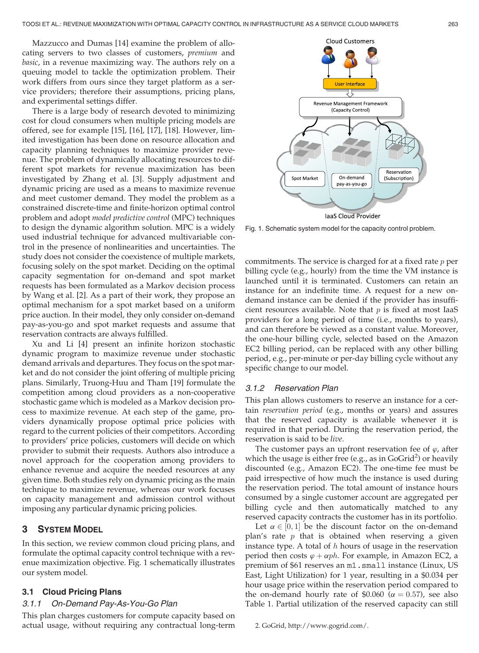Mazzucco and Dumas [14] examine the problem of allocating servers to two classes of customers, premium and basic, in a revenue maximizing way. The authors rely on a queuing model to tackle the optimization problem. Their work differs from ours since they target platform as a service providers; therefore their assumptions, pricing plans, and experimental settings differ.

There is a large body of research devoted to minimizing cost for cloud consumers when multiple pricing models are offered, see for example [15], [16], [17], [18]. However, limited investigation has been done on resource allocation and capacity planning techniques to maximize provider revenue. The problem of dynamically allocating resources to different spot markets for revenue maximization has been investigated by Zhang et al. [3]. Supply adjustment and dynamic pricing are used as a means to maximize revenue and meet customer demand. They model the problem as a constrained discrete-time and finite-horizon optimal control problem and adopt model predictive control (MPC) techniques to design the dynamic algorithm solution. MPC is a widely used industrial technique for advanced multivariable control in the presence of nonlinearities and uncertainties. The study does not consider the coexistence of multiple markets, focusing solely on the spot market. Deciding on the optimal capacity segmentation for on-demand and spot market requests has been formulated as a Markov decision process by Wang et al. [2]. As a part of their work, they propose an optimal mechanism for a spot market based on a uniform price auction. In their model, they only consider on-demand pay-as-you-go and spot market requests and assume that reservation contracts are always fulfilled.

Xu and Li [4] present an infinite horizon stochastic dynamic program to maximize revenue under stochastic demand arrivals and departures. They focus on the spot market and do not consider the joint offering of multiple pricing plans. Similarly, Truong-Huu and Tham [19] formulate the competition among cloud providers as a non-cooperative stochastic game which is modeled as a Markov decision process to maximize revenue. At each step of the game, providers dynamically propose optimal price policies with regard to the current policies of their competitors. According to providers' price policies, customers will decide on which provider to submit their requests. Authors also introduce a novel approach for the cooperation among providers to enhance revenue and acquire the needed resources at any given time. Both studies rely on dynamic pricing as the main technique to maximize revenue, whereas our work focuses on capacity management and admission control without imposing any particular dynamic pricing policies.

## 3 SYSTEM MODEL

In this section, we review common cloud pricing plans, and formulate the optimal capacity control technique with a revenue maximization objective. Fig. 1 schematically illustrates our system model.

## 3.1 Cloud Pricing Plans

# 3.1.1 On-Demand Pay-As-You-Go Plan

This plan charges customers for compute capacity based on actual usage, without requiring any contractual long-term



Fig. 1. Schematic system model for the capacity control problem.

commitments. The service is charged for at a fixed rate  $p$  per billing cycle (e.g., hourly) from the time the VM instance is launched until it is terminated. Customers can retain an instance for an indefinite time. A request for a new ondemand instance can be denied if the provider has insufficient resources available. Note that  $p$  is fixed at most IaaS providers for a long period of time (i.e., months to years), and can therefore be viewed as a constant value. Moreover, the one-hour billing cycle, selected based on the Amazon EC2 billing period, can be replaced with any other billing period, e.g., per-minute or per-day billing cycle without any specific change to our model.

# 3.1.2 Reservation Plan

This plan allows customers to reserve an instance for a certain reservation period (e.g., months or years) and assures that the reserved capacity is available whenever it is required in that period. During the reservation period, the reservation is said to be live.

The customer pays an upfront reservation fee of  $\varphi$ , after which the usage is either free (e.g., as in GoGrid<sup>2</sup>) or heavily discounted (e.g., Amazon EC2). The one-time fee must be paid irrespective of how much the instance is used during the reservation period. The total amount of instance hours consumed by a single customer account are aggregated per billing cycle and then automatically matched to any reserved capacity contracts the customer has in its portfolio.

Let  $\alpha \in [0, 1]$  be the discount factor on the on-demand plan's rate  $p$  that is obtained when reserving a given instance type. A total of  $h$  hours of usage in the reservation period then costs  $\varphi + \alpha ph$ . For example, in Amazon EC2, a premium of \$61 reserves an m1.small instance (Linux, US East, Light Utilization) for 1 year, resulting in a \$0.034 per hour usage price within the reservation period compared to the on-demand hourly rate of \$0.060 ( $\alpha = 0.57$ ), see also Table 1. Partial utilization of the reserved capacity can still

2. GoGrid, http://www.gogrid.com/.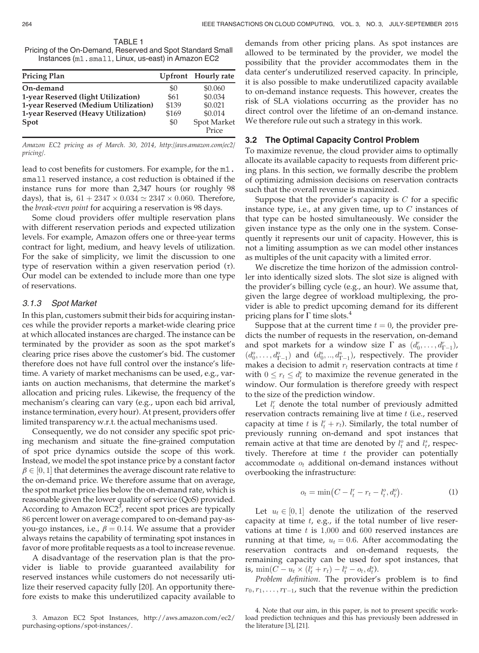TABLE 1 Pricing of the On-Demand, Reserved and Spot Standard Small Instances (m1.small, Linux, us-east) in Amazon EC2

| <b>Pricing Plan</b>                  |       | Upfront Hourly rate  |
|--------------------------------------|-------|----------------------|
| On-demand                            | \$0   | \$0.060              |
| 1-year Reserved (light Utilization)  | \$61  | \$0.034              |
| 1-year Reserved (Medium Utilization) | \$139 | \$0.021              |
| 1-year Reserved (Heavy Utilization)  | \$169 | \$0.014              |
| Spot                                 | \$0   | Spot Market<br>Price |

Amazon EC2 pricing as of March. 30, 2014, http://aws.amazon.com/ec2/ pricing/.

lead to cost benefits for customers. For example, for the m1. small reserved instance, a cost reduction is obtained if the instance runs for more than 2,347 hours (or roughly 98 days), that is,  $61 + 2347 \times 0.034 \approx 2347 \times 0.060$ . Therefore, the break-even point for acquiring a reservation is 98 days.

Some cloud providers offer multiple reservation plans with different reservation periods and expected utilization levels. For example, Amazon offers one or three-year terms contract for light, medium, and heavy levels of utilization. For the sake of simplicity, we limit the discussion to one type of reservation within a given reservation period  $(\tau)$ . Our model can be extended to include more than one type of reservations.

## 3.1.3 Spot Market

In this plan, customers submit their bids for acquiring instances while the provider reports a market-wide clearing price at which allocated instances are charged. The instance can be terminated by the provider as soon as the spot market's clearing price rises above the customer's bid. The customer therefore does not have full control over the instance's lifetime. A variety of market mechanisms can be used, e.g., variants on auction mechanisms, that determine the market's allocation and pricing rules. Likewise, the frequency of the mechanism's clearing can vary (e.g., upon each bid arrival, instance termination, every hour). At present, providers offer limited transparency w.r.t. the actual mechanisms used.

Consequently, we do not consider any specific spot pricing mechanism and situate the fine-grained computation of spot price dynamics outside the scope of this work. Instead, we model the spot instance price by a constant factor  $\beta \in [0, 1]$  that determines the average discount rate relative to the on-demand price. We therefore assume that on average, the spot market price lies below the on-demand rate, which is reasonable given the lower quality of service (QoS) provided. According to Amazon  $EC2<sup>3</sup>$ , recent spot prices are typically 86 percent lower on average compared to on-demand pay-asyou-go instances, i.e.,  $\beta = 0.14$ . We assume that a provider always retains the capability of terminating spot instances in favor of more profitable requests as a tool to increase revenue.

A disadvantage of the reservation plan is that the provider is liable to provide guaranteed availability for reserved instances while customers do not necessarily utilize their reserved capacity fully [20]. An opportunity therefore exists to make this underutilized capacity available to

3. Amazon EC2 Spot Instances, http://aws.amazon.com/ec2/ purchasing-options/spot-instances/.

demands from other pricing plans. As spot instances are allowed to be terminated by the provider, we model the possibility that the provider accommodates them in the data center's underutilized reserved capacity. In principle, it is also possible to make underutilized capacity available to on-demand instance requests. This however, creates the risk of SLA violations occurring as the provider has no direct control over the lifetime of an on-demand instance. We therefore rule out such a strategy in this work.

## 3.2 The Optimal Capacity Control Problem

To maximize revenue, the cloud provider aims to optimally allocate its available capacity to requests from different pricing plans. In this section, we formally describe the problem of optimizing admission decisions on reservation contracts such that the overall revenue is maximized.

Suppose that the provider's capacity is  $C$  for a specific instance type, i.e., at any given time, up to  $C$  instances of that type can be hosted simultaneously. We consider the given instance type as the only one in the system. Consequently it represents our unit of capacity. However, this is not a limiting assumption as we can model other instances as multiples of the unit capacity with a limited error.

We discretize the time horizon of the admission controller into identically sized slots. The slot size is aligned with the provider's billing cycle (e.g., an hour). We assume that, given the large degree of workload multiplexing, the provider is able to predict upcoming demand for its different pricing plans for  $\Gamma$  time slots.<sup>4</sup>

Suppose that at the current time  $t = 0$ , the provider predicts the number of requests in the reservation, on-demand and spot markets for a window size  $\Gamma$  as  $(d_0^r, \ldots, d_{\Gamma-1}^r)$ ,  $(d_0^q, \ldots, d_1^q)$  and  $(d_0^s, \ldots, d_0^s)$  respectively. The provider  $(d_0^{\rho}, \ldots, d_{\Gamma-1}^{\rho})$  and  $(d_0^{\rho}, \ldots, d_{\Gamma-1}^{\rho})$ , respectively. The provider makes a decision to admit r, reservation contracts at time t makes a decision to admit  $r_t$  reservation contracts at time  $t$ with  $0 \le r_t \le d_t^r$  to maximize the revenue generated in the window. Our formulation is therefore greedy with respect window. Our formulation is therefore greedy with respect to the size of the prediction window.

Let  $l_t^r$  denote the total number of previously admitted reservation contracts remaining live at time  $t$  (i.e., reserved capacity at time t is  $l_t^r + r_t$ ). Similarly, the total number of previously running on-demand and spot instances that previously running on-demand and spot instances that remain active at that time are denoted by  $l_t^o$  and  $l_t^s$ , respectively. Therefore at time  $t$  the provider can potentially accommodate  $o_t$  additional on-demand instances without overbooking the infrastructure:

$$
o_t = \min(C - l_t^r - r_t - l_t^o, d_t^o).
$$
 (1)

Let  $u_t \in [0,1]$  denote the utilization of the reserved capacity at time  $t$ , e.g., if the total number of live reservations at time  $t$  is 1,000 and 600 reserved instances are running at that time,  $u_t = 0.6$ . After accommodating the reservation contracts and on-demand requests, the remaining capacity can be used for spot instances, that is,  $\min(C - u_t \times (l_t^r + r_t) - l_t^o - o_t, d_t^s)$ .<br>Problem definition The provider's

Problem definition. The provider's problem is to find  $r_0, r_1, \ldots, r_{T-1}$ , such that the revenue within the prediction

<sup>4.</sup> Note that our aim, in this paper, is not to present specific workload prediction techniques and this has previously been addressed in the literature [3], [21].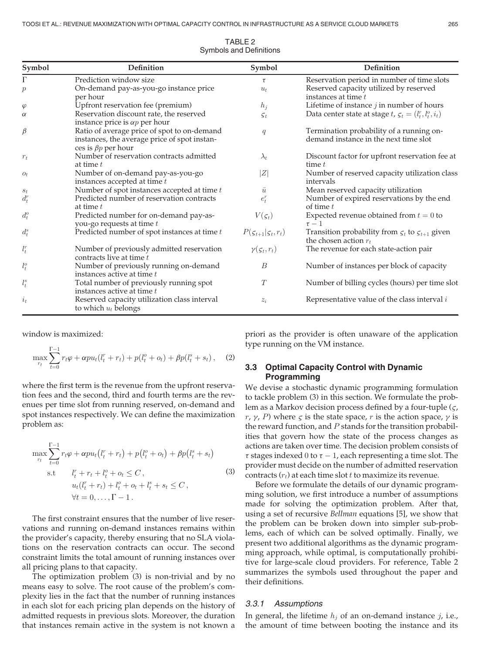| Symbol             | Definition                                                                       | Symbol                               | Definition                                                                              |
|--------------------|----------------------------------------------------------------------------------|--------------------------------------|-----------------------------------------------------------------------------------------|
| $\Gamma$           | Prediction window size                                                           | τ                                    | Reservation period in number of time slots                                              |
| р                  | On-demand pay-as-you-go instance price                                           | $u_t$                                | Reserved capacity utilized by reserved                                                  |
|                    | per hour                                                                         |                                      | instances at time t                                                                     |
| $\varphi$          | Upfront reservation fee (premium)                                                | $h_j$                                | Lifetime of instance $j$ in number of hours                                             |
| $\alpha$           | Reservation discount rate, the reserved<br>instance price is $\alpha p$ per hour | $\mathcal{L}_t$                      | Data center state at stage $t$ , $\varsigma_t = (l_t^r, l_t^o, i_t)$                    |
| $\beta$            | Ratio of average price of spot to on-demand                                      | q                                    | Termination probability of a running on-                                                |
|                    | instances, the average price of spot instan-<br>ces is $\beta p$ per hour        |                                      | demand instance in the next time slot                                                   |
| $r_t$              | Number of reservation contracts admitted<br>at time $t$                          | $\lambda_t$                          | Discount factor for upfront reservation fee at<br>time $t$                              |
| $O_t$              | Number of on-demand pay-as-you-go                                                | Z                                    | Number of reserved capacity utilization class                                           |
|                    | instances accepted at time t                                                     |                                      | intervals                                                                               |
| $\boldsymbol{s}_t$ | Number of spot instances accepted at time $t$                                    | $\bar{u}$                            | Mean reserved capacity utilization                                                      |
| $d_t^r$            | Predicted number of reservation contracts<br>at time $t$                         | $e_t^r$                              | Number of expired reservations by the end<br>of time $t$                                |
| $d_t^o$            | Predicted number for on-demand pay-as-<br>you-go requests at time t              | $V(\varsigma_t)$                     | Expected revenue obtained from $t = 0$ to<br>$\tau-1$                                   |
| $d_t^s$            | Predicted number of spot instances at time $t$                                   | $P(\varsigma_{t+1} \varsigma_t,r_t)$ | Transition probability from $\zeta_t$ to $\zeta_{t+1}$ given<br>the chosen action $r_t$ |
| $l_t^r$            | Number of previously admitted reservation<br>contracts live at time $t$          | $\gamma(\varsigma_t,r_t)$            | The revenue for each state-action pair                                                  |
| $l_t^o$            | Number of previously running on-demand                                           | $\boldsymbol{B}$                     | Number of instances per block of capacity                                               |
|                    | instances active at time t                                                       |                                      |                                                                                         |
| $l_t^s$            | Total number of previously running spot<br>instances active at time t            | $\cal T$                             | Number of billing cycles (hours) per time slot                                          |
| $i_t$              | Reserved capacity utilization class interval<br>to which $u_t$ belongs           | $z_i$                                | Representative value of the class interval $i$                                          |

TABLE 2 Symbols and Definitions

window is maximized:

$$
\max_{r_t} \sum_{t=0}^{\Gamma-1} r_t \varphi + \alpha p u_t(l_t^r + r_t) + p(l_t^o + o_t) + \beta p(l_t^s + s_t), \quad (2)
$$

where the first term is the revenue from the upfront reservation fees and the second, third and fourth terms are the revenues per time slot from running reserved, on-demand and spot instances respectively. We can define the maximization problem as:

$$
\max_{r_t} \sum_{t=0}^{\Gamma-1} r_t \varphi + \alpha p u_t (l_t^r + r_t) + p(l_t^o + o_t) + \beta p(l_t^s + s_t)
$$
  
s.t 
$$
l_t^r + r_t + l_t^o + o_t \leq C,
$$

$$
u_t(l_t^r + r_t) + l_t^o + o_t + l_t^s + s_t \leq C,
$$

$$
\forall t = 0, ..., \Gamma - 1.
$$
 (3)

The first constraint ensures that the number of live reservations and running on-demand instances remains within the provider's capacity, thereby ensuring that no SLA violations on the reservation contracts can occur. The second constraint limits the total amount of running instances over all pricing plans to that capacity.

The optimization problem (3) is non-trivial and by no means easy to solve. The root cause of the problem's complexity lies in the fact that the number of running instances in each slot for each pricing plan depends on the history of admitted requests in previous slots. Moreover, the duration that instances remain active in the system is not known a priori as the provider is often unaware of the application type running on the VM instance.

## 3.3 Optimal Capacity Control with Dynamic Programming

We devise a stochastic dynamic programming formulation to tackle problem (3) in this section. We formulate the problem as a Markov decision process defined by a four-tuple  $(\varsigma, \varsigma)$  $r, \gamma, P$ ) where  $\varsigma$  is the state space, r is the action space,  $\gamma$  is the reward function, and  $P$  stands for the transition probabilities that govern how the state of the process changes as actions are taken over time. The decision problem consists of  $\tau$  stages indexed 0 to  $\tau$  – 1, each representing a time slot. The provider must decide on the number of admitted reservation contracts  $(r_t)$  at each time slot t to maximize its revenue.

Before we formulate the details of our dynamic programming solution, we first introduce a number of assumptions made for solving the optimization problem. After that, using a set of recursive Bellman equations [5], we show that the problem can be broken down into simpler sub-problems, each of which can be solved optimally. Finally, we present two additional algorithms as the dynamic programming approach, while optimal, is computationally prohibitive for large-scale cloud providers. For reference, Table 2 summarizes the symbols used throughout the paper and their definitions.

#### 3.3.1 Assumptions

In general, the lifetime  $h_i$  of an on-demand instance  $j$ , i.e., the amount of time between booting the instance and its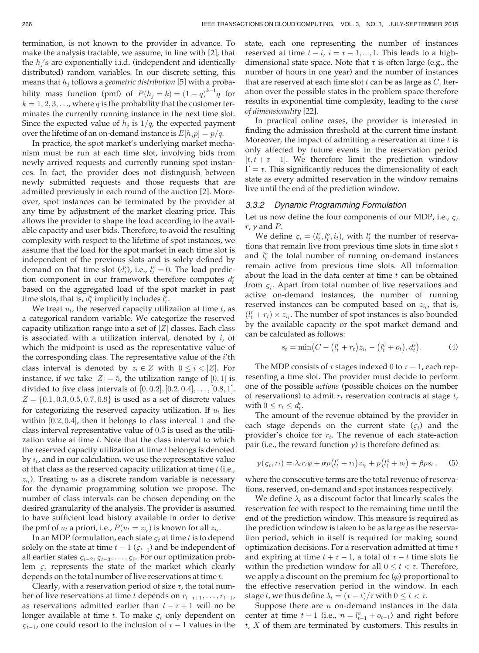termination, is not known to the provider in advance. To make the analysis tractable, we assume, in line with [2], that the  $h_i$ 's are exponentially i.i.d. (independent and identically distributed) random variables. In our discrete setting, this means that  $h_j$  follows a geometric distribution [5] with a probability mass function (pmf) of  $P(h_j = k) = (1 - q)^{k-1}q$  for  $k-1$  2, 3  $k = 1, 2, 3, \ldots$ , where q is the probability that the customer terminates the currently running instance in the next time slot. Since the expected value of  $h_i$  is  $1/q$ , the expected payment over the lifetime of an on-demand instance is  $E[h_i p] = p/q$ .

In practice, the spot market's underlying market mechanism must be run at each time slot, involving bids from newly arrived requests and currently running spot instances. In fact, the provider does not distinguish between newly submitted requests and those requests that are admitted previously in each round of the auction [2]. Moreover, spot instances can be terminated by the provider at any time by adjustment of the market clearing price. This allows the provider to shape the load according to the available capacity and user bids. Therefore, to avoid the resulting complexity with respect to the lifetime of spot instances, we assume that the load for the spot market in each time slot is independent of the previous slots and is solely defined by demand on that time slot  $(d_i^s)$ , i.e.,  $l_i^s = 0$ . The load prediction component in our framework therefore computes  $d^s$ tion component in our framework therefore computes  $d_t^s$ based on the aggregated load of the spot market in past time slots, that is,  $d_t^s$  implicitly includes  $l_t^s$ .

We treat  $u_t$ , the reserved capacity utilization at time  $t$ , as a categorical random variable. We categorize the reserved capacity utilization range into a set of  $|Z|$  classes. Each class is associated with a utilization interval, denoted by  $i$ , of which the midpoint is used as the representative value of the corresponding class. The representative value of the i'th class interval is denoted by  $z_i \in Z$  with  $0 \le i \le |Z|$ . For instance, if we take  $|Z|=5$ , the utilization range of [0, 1] is divided to five class intervals of  $[0, 0.2]$ ,  $[0.2, 0.4]$ , ...,  $[0.8, 1]$ .  $Z = \{0.1, 0.3, 0.5, 0.7, 0.9\}$  is used as a set of discrete values for categorizing the reserved capacity utilization. If  $u_t$  lies within  $[0.2, 0.4]$ , then it belongs to class interval 1 and the class interval representative value of 0:3 is used as the utilization value at time  $t$ . Note that the class interval to which the reserved capacity utilization at time  $t$  belongs is denoted by  $i_t$ , and in our calculation, we use the representative value of that class as the reserved capacity utilization at time  $t$  (i.e.,  $z_{i}$ ). Treating  $u_t$  as a discrete random variable is necessary for the dynamic programming solution we propose. The number of class intervals can be chosen depending on the desired granularity of the analysis. The provider is assumed to have sufficient load history available in order to derive the pmf of  $u_t$  a priori, i.e.,  $P(u_t = z_{i_t})$  is known for all  $z_{i_t}$ .

In an MDP formulation, each state  $\zeta_t$  at time t is to depend solely on the state at time  $t - 1$  ( $\zeta_{t-1}$ ) and be independent of all earlier states  $\zeta_{t-2}, \zeta_{t-3}, \ldots, \zeta_0$ . For our optimization problem  $\zeta_t$  represents the state of the market which clearly depends on the total number of live reservations at time  $t$ .

Clearly, with a reservation period of size  $\tau$ , the total number of live reservations at time t depends on  $r_{t-\tau+1}, \ldots, r_{t-1}$ , as reservations admitted earlier than  $t - \tau + 1$  will no be longer available at time t. To make  $\zeta_t$  only dependent on  $\zeta_{t-1}$ , one could resort to the inclusion of  $\tau - 1$  values in the state, each one representing the number of instances reserved at time  $t - i$ ,  $i = \tau - 1, ..., 1$ . This leads to a highdimensional state space. Note that  $\tau$  is often large (e.g., the number of hours in one year) and the number of instances that are reserved at each time slot  $t$  can be as large as  $C$ . Iteration over the possible states in the problem space therefore results in exponential time complexity, leading to the curse of dimensionality [22].

In practical online cases, the provider is interested in finding the admission threshold at the current time instant. Moreover, the impact of admitting a reservation at time  $t$  is only affected by future events in the reservation period  $[t, t + \tau - 1]$ . We therefore limit the prediction window  $\Gamma = \tau$ . This significantly reduces the dimensionality of each state as every admitted reservation in the window remains live until the end of the prediction window.

#### 3.3.2 Dynamic Programming Formulation

Let us now define the four components of our MDP, i.e.,  $\varsigma$ ,  $r, \gamma$  and P.

We define  $\zeta_t = (l_t^r, l_t^o, i_t)$ , with  $l_t^r$  the number of reservations that remain live from previous time slots in time slot t tions that remain live from previous time slots in time slot  $t$ and  $l_t^o$  the total number of running on-demand instances remain active from previous time slots. All information about the load in the data center at time  $t$  can be obtained from  $\zeta_t$ . Apart from total number of live reservations and active on-demand instances, the number of running reserved instances can be computed based on  $z_{i_t}$ , that is,  $(t_i^r + r_t) \times z_i$ . The number of spot instances is also bounded<br>by the available capacity or the spot market demand and by the available capacity or the spot market demand and can be calculated as follows:

$$
s_t = \min(C - (l_t^r + r_t)z_{i_t} - (l_t^o + o_t), d_t^s).
$$
 (4)

The MDP consists of  $\tau$  stages indexed 0 to  $\tau - 1$ , each representing a time slot. The provider must decide to perform one of the possible actions (possible choices on the number of reservations) to admit  $r_t$  reservation contracts at stage  $t$ , with  $0 \le r_t \le d_t^r$ .<br>The amount  $d_t$ 

The amount of the revenue obtained by the provider in each stage depends on the current state  $(s_t)$  and the provider's choice for  $r_t$ . The revenue of each state-action pair (i.e., the reward function  $\gamma$  ) is therefore defined as:

$$
\gamma(\zeta_t, r_t) = \lambda_t r_t \varphi + \alpha p (l_t^r + r_t) z_{i_t} + p (l_t^o + o_t) + \beta p s_t, \quad (5)
$$

where the consecutive terms are the total revenue of reservations, reserved, on-demand and spot instances respectively.

We define  $\lambda_t$  as a discount factor that linearly scales the reservation fee with respect to the remaining time until the end of the prediction window. This measure is required as the prediction window is taken to be as large as the reservation period, which in itself is required for making sound optimization decisions. For a reservation admitted at time  $t$ and expiring at time  $t + \tau - 1$ , a total of  $\tau - t$  time slots lie within the prediction window for all  $0 \le t < \tau$ . Therefore, we apply a discount on the premium fee  $(\varphi)$  proportional to the effective reservation period in the window. In each stage t, we thus define  $\lambda_t = (\tau - t)/\tau$  with  $0 \le t < \tau$ .<br>Suppose there are n on-demand instances in

Suppose there are  $n$  on-demand instances in the data center at time  $t-1$  (i.e.,  $n = l_{t-1}^o + o_{t-1}$ ) and right before  $t$ ,  $X$  of them are terminated by customers. This results in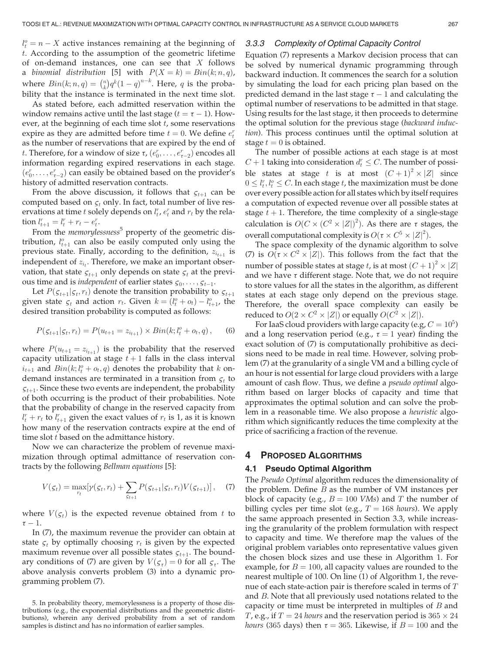$l_t^o = n - X$  active instances remaining at the beginning of  $t$ . According to the assumption of the geometric lifetime t. According to the assumption of the geometric lifetime of on-demand instances, one can see that  $X$  follows a binomial distribution [5] with  $P(X = k) = Bin(k; n, q)$ , where  $Bin(k; n, q) = {n \choose k} q^k (1 - q)^{n-k}$ . Here, q is the proba-<br>bility that the instance is terminated in the poxt time slot. bility that the instance is terminated in the next time slot.

As stated before, each admitted reservation within the window remains active until the last stage ( $t = \tau - 1$ ). However, at the beginning of each time slot  $t$ , some reservations expire as they are admitted before time  $t = 0$ . We define  $e_t^r$  as the number of reservations that are expired by the end of as the number of reservations that are expired by the end of t. Therefore, for a window of size  $\tau$ ,  $(e_0^r, \ldots, e_{\tau-2}^r)$  encodes all<br>information regarding expired reservations in each stage information regarding expired reservations in each stage.  $(e_0^r, \ldots, e_{r-2}^r)$  can easily be obtained based on the provider's<br>history of admitted reservation contracts history of admitted reservation contracts.

From the above discussion, it follows that  $\zeta_{t+1}$  can be computed based on  $\varsigma_t$  only. In fact, total number of live reservations at time t solely depends on  $l_t^r$ ,  $e_t^r$  and  $r_t$  by the relation  $l_{t+1}^r = l_t^r + r_t - e_t^r$ .<br>From the memory

From the *memorylessness*<sup>5</sup> property of the geometric distribution,  $l_{t+1}^o$  can also be easily computed only using the previous state. Finally, according to the definition  $z_i$  is previous state. Finally, according to the definition,  $z_{i_{t+1}}$  is independent of  $z_{i_t}$ . Therefore, we make an important observation, that state  $\zeta_{t+1}$  only depends on state  $\zeta_t$  at the previous time and is *independent* of earlier states  $\zeta_0, \ldots, \zeta_{t-1}$ .

Let  $P(\zeta_{t+1}|\zeta_t,r_t)$  denote the transition probability to  $\zeta_{t+1}$ given state  $\zeta_t$  and action  $r_t$ . Given  $k = (l_t^o + o_t) - l_{t+1}^o$ , the desired transition probability is computed as follows: desired transition probability is computed as follows:

$$
P(\zeta_{t+1}|\zeta_t, r_t) = P(u_{t+1} = z_{i_{t+1}}) \times Bin(k; l_t^o + o_t, q), \qquad (6)
$$

where  $P(u_{t+1} = z_{i_{t+1}})$  is the probability that the reserved capacity utilization at stage  $t + 1$  falls in the class interval  $i_{t+1}$  and  $Bin(k; l_t^o + o_t, q)$  denotes the probability that k on-<br>demand instances are terminated in a transition from  $\epsilon$  to demand instances are terminated in a transition from  $\varsigma_t$  to  $\zeta_{t+1}$ . Since these two events are independent, the probability of both occurring is the product of their probabilities. Note that the probability of change in the reserved capacity from  $l_t^r + r_t$  to  $l_{t+1}^r$  given the exact values of  $r_t$  is 1, as it is known<br>how many of the receivation contracts expire at the end of how many of the reservation contracts expire at the end of time slot  $t$  based on the admittance history.

Now we can characterize the problem of revenue maximization through optimal admittance of reservation contracts by the following Bellman equations [5]:

$$
V(\zeta_t) = \max_{r_t} [\gamma(\zeta_t, r_t) + \sum_{\zeta_{t+1}} P(\zeta_{t+1} | \zeta_t, r_t) V(\zeta_{t+1})], \quad (7)
$$

where  $V(\varsigma_t)$  is the expected revenue obtained from t to  $\tau - 1$ .

In (7), the maximum revenue the provider can obtain at state  $\varsigma_t$  by optimally choosing  $r_t$  is given by the expected maximum revenue over all possible states  $\zeta_{t+1}$ . The boundary conditions of (7) are given by  $V(\zeta_t) = 0$  for all  $\zeta_t$ . The above analysis converts problem (3) into a dynamic programming problem (7).

## 3.3.3 Complexity of Optimal Capacity Control

Equation (7) represents a Markov decision process that can be solved by numerical dynamic programming through backward induction. It commences the search for a solution by simulating the load for each pricing plan based on the predicted demand in the last stage  $\tau - 1$  and calculating the optimal number of reservations to be admitted in that stage. Using results for the last stage, it then proceeds to determine the optimal solution for the previous stage (backward induction). This process continues until the optimal solution at stage  $t = 0$  is obtained.

The number of possible actions at each stage is at most  $C + 1$  taking into consideration  $d_t^r \n\leq C$ . The number of possible states at stage t is at most  $(C+1)^2 \times |Z|$  since  $0 \le l^r l^p \le C$ . In each stage t the maximization must be done  $0 \leq l_l^r, l_l^o \leq C$ . In each stage t, the maximization must be done<br>over every possible action for all states which by itself requires over every possible action for all states which by itself requires a computation of expected revenue over all possible states at stage  $t + 1$ . Therefore, the time complexity of a single-stage calculation is  $O(C \times (C^2 \times |Z|)^2)$ . As there are  $\tau$  stages, the overall computational complexity is  $O(\tau \times C^5 \times |Z|^2)$ .<br>The space complexity of the dynamic algorithm

The space complexity of the dynamic algorithm to solve (7) is  $O(\tau \times C^2 \times |Z|)$ . This follows from the fact that the number of possible states at stage t, is at most  $(C+1)^2 \times |Z|$ <br>and we have  $\tau$  different stage. Note that, we do not require and we have  $\tau$  different stage. Note that, we do not require to store values for all the states in the algorithm, as different states at each stage only depend on the previous stage. Therefore, the overall space complexity can easily be reduced to  $O(2 \times C^2 \times |Z|)$  or equally  $O(C^2 \times |Z|)$ .

For IaaS cloud providers with large capacity (e.g,  $C = 10^5$ ) and a long reservation period (e.g.,  $\tau = 1$  year) finding the exact solution of (7) is computationally prohibitive as decisions need to be made in real time. However, solving problem (7) at the granularity of a single VM and a billing cycle of an hour is not essential for large cloud providers with a large amount of cash flow. Thus, we define a pseudo optimal algorithm based on larger blocks of capacity and time that approximates the optimal solution and can solve the problem in a reasonable time. We also propose a heuristic algorithm which significantly reduces the time complexity at the price of sacrificing a fraction of the revenue.

## 4 PROPOSED ALGORITHMS

#### 4.1 Pseudo Optimal Algorithm

The Pseudo Optimal algorithm reduces the dimensionality of the problem. Define  $B$  as the number of VM instances per block of capacity (e.g.,  $B = 100$  *VMs*) and *T* the number of billing cycles per time slot (e.g.,  $T = 168$  hours). We apply the same approach presented in Section 3.3, while increasing the granularity of the problem formulation with respect to capacity and time. We therefore map the values of the original problem variables onto representative values given the chosen block sizes and use these in Algorithm 1. For example, for  $B = 100$ , all capacity values are rounded to the nearest multiple of 100. On line (1) of Algorithm 1, the revenue of each state-action pair is therefore scaled in terms of  $T$ and B. Note that all previously used notations related to the capacity or time must be interpreted in multiples of  $B$  and T, e.g., if  $T = 24$  hours and the reservation period is  $365 \times 24$ hours (365 days) then  $\tau = 365$ . Likewise, if  $B = 100$  and the

<sup>5.</sup> In probability theory, memorylessness is a property of those distributions (e.g., the exponential distributions and the geometric distributions), wherein any derived probability from a set of random samples is distinct and has no information of earlier samples.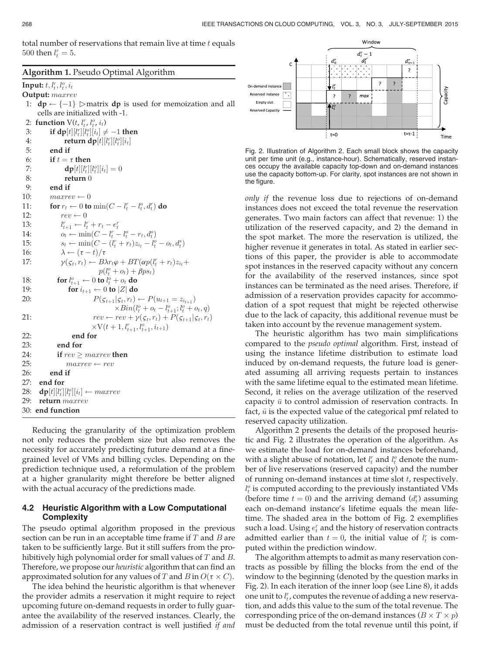total number of reservations that remain live at time  $t$  equals 500 then  $l_t^r = 5$ .

#### Algorithm 1. Pseudo Optimal Algorithm

Input:  $t, l_t^r, l_t^o, i_t$ Output: maxrev

1:  $dp \leftarrow \{-1\}$  > matrix dp is used for memoization and all cells are initialized with -1.

2: function  $V(t, l_t^r, l_t^o, i_t)$ 3: if  $\mathbf{dp}[t][l_i^r][l_i^o][i_t] \neq -1$  then<br>  $\mathbf{d}$ : return  $\mathbf{dp}[t][l^r][l^o][i_t]$ 4: return dp $[t][l_t^r][l_t^o][i_t]$ 5: end if<br>6: if  $t = 3$ 6: if  $t = \tau$  then<br>7: dp[t][[t][] 7:  $\mathbf{dp}[t][l_t^r][l_t^o][i_t] = 0$ <br>8:  $\mathbf{r}$  return 0 8:  $return 0$ <br>9:  $end if$ end if 10:  $maxrev \leftarrow 0$ <br>11: **for**  $r_t \leftarrow 0$  to 11: for  $r_t \leftarrow 0$  to  $\min(C - l_t^r - l_t^o, d_t^r)$  do<br>12.  $r_{ev} \leftarrow 0$ 12:  $rev \leftarrow 0$  $13:$  $t_{t+1}^r \leftarrow t_t^r + r_t - e_t^r$ 14:  $o_t \leftarrow \min(C - l_t^r - l_t^o - r_t, d_t^o)$ <br>
15:  $s_t \leftarrow \min(C - (l^r + r_t)z_t - 1)$ 14:  $o_t \leftarrow \min(C - t_t - t_t - r_t, a_t)$ <br>
15:  $s_t \leftarrow \min(C - (l_t^r + r_t)z_{i_t} - l_t^o - o_t, d_t^s)$ <br>
16:  $\lambda \leftarrow (\tau - t)/\tau$  $16$ :  $\lambda \leftarrow (\tau - t)/\tau$ 17:  $\gamma(\varsigma_t, r_t) \leftarrow B\lambda r_t \varphi + BT(\alpha p(l_t^r + r_t)z_{i_t} + n_t \varphi) \times \frac{1}{\varphi(\varsigma_t, r_t)}$  $p(l_t^o + o_t) + \beta p s_t)$ 18: for  $l_{t+1}^o \leftarrow 0$  to  $l_t^o + o_t$  do<br>
19: for  $i_{t+1} \leftarrow 0$  to  $|Z|$  do 19: **for**  $i_{t+1} \leftarrow 0$  to  $|Z|$  do<br>20:  $P(\zeta_{t+1}|\zeta_t, r_t)$  $P(\varsigma_{t+1}|\varsigma_t,r_t) \leftarrow P(u_{t+1} = z_{i_{t+1}})$  $\frac{\times Bin(l_t^o + o_t - l_{t+1}^o; l_t^o + o_t, q)}{ren + \gamma(c, r) + P(c, \lvert c, r) \rvert}$ 21:  $rev \leftarrow rev + \gamma(\zeta_t, r_t) + P(\zeta_{t+1}|\zeta_t, r_t)$  $\times V(t+1, l_{t+1}^r, l_{t+1}^o, i_{t+1})$ 22: end for 23: end for 24: **if**  $rev \geq maxrev$  **then**<br>25:  $maxrev \leftarrow rev$ 25:  $maxrev \leftarrow rev$ <br>26: **end if** end if 27: end for

28:  $\mathbf{dp}[t][l_t^r][l_t^q][i_t] \leftarrow \text{maxrev}$ <br>
29: return maxrey 29: return maxrev 30: end function

Reducing the granularity of the optimization problem not only reduces the problem size but also removes the necessity for accurately predicting future demand at a finegrained level of VMs and billing cycles. Depending on the prediction technique used, a reformulation of the problem at a higher granularity might therefore be better aligned with the actual accuracy of the predictions made.

# 4.2 Heuristic Algorithm with a Low Computational **Complexity**

The pseudo optimal algorithm proposed in the previous section can be run in an acceptable time frame if  $T$  and  $B$  are taken to be sufficiently large. But it still suffers from the prohibitively high polynomial order for small values of T and B. Therefore, we propose our heuristic algorithm that can find an approximated solution for any values of T and B in  $O(\tau \times C)$ .

The idea behind the heuristic algorithm is that whenever the provider admits a reservation it might require to reject upcoming future on-demand requests in order to fully guarantee the availability of the reserved instances. Clearly, the admission of a reservation contract is well justified if and



Fig. 2. Illustration of Algorithm 2. Each small block shows the capacity unit per time unit (e.g., instance-hour). Schematically, reserved instances occupy the available capacity top-down and on-demand instances use the capacity bottom-up. For clarity, spot instances are not shown in the figure.

only if the revenue loss due to rejections of on-demand instances does not exceed the total revenue the reservation generates. Two main factors can affect that revenue: 1) the utilization of the reserved capacity, and 2) the demand in the spot market. The more the reservation is utilized, the higher revenue it generates in total. As stated in earlier sections of this paper, the provider is able to accommodate spot instances in the reserved capacity without any concern for the availability of the reserved instances, since spot instances can be terminated as the need arises. Therefore, if admission of a reservation provides capacity for accommodation of a spot request that might be rejected otherwise due to the lack of capacity, this additional revenue must be taken into account by the revenue management system.

The heuristic algorithm has two main simplifications compared to the pseudo optimal algorithm. First, instead of using the instance lifetime distribution to estimate load induced by on-demand requests, the future load is generated assuming all arriving requests pertain to instances with the same lifetime equal to the estimated mean lifetime. Second, it relies on the average utilization of the reserved capacity  $\bar{u}$  to control admission of reservation contracts. In fact,  $\bar{u}$  is the expected value of the categorical pmf related to reserved capacity utilization.

Algorithm 2 presents the details of the proposed heuristic and Fig. 2 illustrates the operation of the algorithm. As we estimate the load for on-demand instances beforehand, with a slight abuse of notation, let  $l_t^r$  and  $l_t^o$  denote the number of live reservations (reserved capacity) and the number of running on-demand instances at time slot t, respectively.  $l_t^o$  is computed according to the previously instantiated VMs (before time  $t = 0$ ) and the arriving demand  $(d_t^r)$  assuming<br>each on-demand instance's lifetime equals the mean lifeeach on-demand instance's lifetime equals the mean lifetime. The shaded area in the bottom of Fig. 2 exemplifies such a load. Using  $e_t^r$  and the history of reservation contracts admitted earlier than  $t = 0$ , the initial value of  $l_t^r$  is computed within the prediction window.

The algorithm attempts to admit as many reservation contracts as possible by filling the blocks from the end of the window to the beginning (denoted by the question marks in Fig. 2). In each iteration of the inner loop (see Line 8), it adds one unit to  $l_t^r$ , computes the revenue of adding a new reservation, and adds this value to the sum of the total revenue. The corresponding price of the on-demand instances  $(B \times T \times p)$ must be deducted from the total revenue until this point, if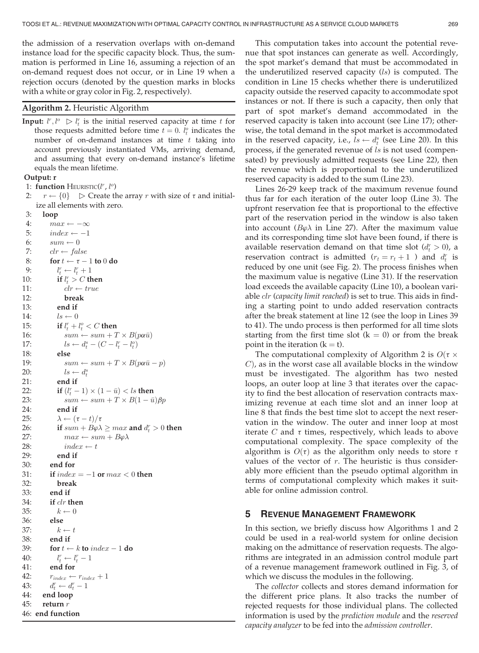the admission of a reservation overlaps with on-demand instance load for the specific capacity block. Thus, the summation is performed in Line 16, assuming a rejection of an on-demand request does not occur, or in Line 19 when a rejection occurs (denoted by the question marks in blocks with a white or gray color in Fig. 2, respectively).

## Algorithm 2. Heuristic Algorithm

**Input:**  $l^r, l^o \geq l^r_t$  is the initial reserved capacity at time t for those requests admitted before time  $t = 0$ .  $l_i^0$  indicates the number of on-demand instances at time t taking into number of on-demand instances at time  $t$  taking into account previously instantiated VMs, arriving demand, and assuming that every on-demand instance's lifetime equals the mean lifetime.

```
Output: r
```

```
1: function HEURISTIC(l^r, l^o)
```

```
3: loop
```

```
4: max \leftarrow -\infty<br>5: index \leftarrow -15: index \leftarrow -1<br>6: sum \leftarrow 06: sum \leftarrow 0<br>7: clr \leftarrow fall7: clr \leftarrow false<br>8: for t \leftarrow \tau -for t \leftarrow \tau - 1 to 0 do
\frac{9}{10}\frac{r}{t} \leftarrow \frac{l}{t} + 1<br>f l^r > C th
10: if l_t^r > C then
11: \qquad \qquad \text{d}r \leftarrow \text{true}<br>12: break
                      12: break
13: end if
14: ls \leftarrow 0<br>15: if l^r +15: if l_t^r + l_t^o < C then<br>16: \frac{sym}{m} \leftarrow \frac{sym+T}{m+T}16: sum \leftarrow sum + T \times B(p\alpha\bar{u})<br>17: ls \leftarrow d^s - (C - l^r - l^o)17: ls \leftarrow d_t^s - (C - l_t^r - l_t^o)<br>18: else
18: else
19: sum \leftarrow sum + T \times B(p\alpha \bar{u} - p)<br>20: ls \leftarrow d^s20: ls \leftarrow d_t^s<br>
21 end if
21: end if
22: if (l_t^r - 1) \times (1 - \bar{u}) < l_s then<br>
23 \cdot if \frac{1}{l_t^r} \frac{1}{l_s^r} \times \frac{1}{l_s^r}23: sum \leftarrow sum + T \times B(1 - \bar{u})\beta p<br>24: end if
                  end if
25.\lambda \leftarrow (\tau-t)/\tau26: if sum + B\varphi\lambda \ge max and d_t^r > 0 then<br>27. max \leftarrow sum + B\varphi\lambda27: max \leftarrow sum + B\varphi\lambda<br>28: index \leftarrow t28: index \leftarrow t<br>29: end if
                  end if
30: end for
31: if index = -1 or max < 0 then<br>32: break
                  32: break
33: end if
34: if clr then
35: k \leftarrow 0<br>36: else
               else
37: k \leftarrow t<br>38: end if
39: for t \leftarrow k to index - 1 do
40:t_t^r \leftarrow t_t^r - 1<br>d for
41: end for
42: r_{index} \leftarrow r_{index} + 143:d_t^r \leftarrow d_t^r - 144: end loop
45: return r46: end function
```
This computation takes into account the potential revenue that spot instances can generate as well. Accordingly, the spot market's demand that must be accommodated in the underutilized reserved capacity  $(ls)$  is computed. The condition in Line 15 checks whether there is underutilized capacity outside the reserved capacity to accommodate spot instances or not. If there is such a capacity, then only that part of spot market's demand accommodated in the reserved capacity is taken into account (see Line 17); otherwise, the total demand in the spot market is accommodated in the reserved capacity, i.e.,  $\hat{l} s \leftarrow d_i^s$  (see Line 20). In this process if the generated revenue of  $l_s$  is not used (compenprocess, if the generated revenue of ls is not used (compensated) by previously admitted requests (see Line 22), then the revenue which is proportional to the underutilized reserved capacity is added to the sum (Line 23).

Lines 26-29 keep track of the maximum revenue found thus far for each iteration of the outer loop (Line 3). The upfront reservation fee that is proportional to the effective part of the reservation period in the window is also taken into account ( $B\varphi\lambda$  in Line 27). After the maximum value and its corresponding time slot have been found if there is and its corresponding time slot have been found, if there is available reservation demand on that time slot  $(d<sub>t</sub><sup>r</sup> > 0)$ , a reservation contract is admitted  $(r_t = r_t + 1)$  and  $d_t^r$  is reduced by one unit (see Fig. 2). The process finishes when reduced by one unit (see Fig. 2). The process finishes when the maximum value is negative (Line 31). If the reservation load exceeds the available capacity (Line 10), a boolean variable *clr* (capacity limit reached) is set to true. This aids in finding a starting point to undo added reservation contracts after the break statement at line 12 (see the loop in Lines 39 to 41). The undo process is then performed for all time slots starting from the first time slot  $(k = 0)$  or from the break point in the iteration  $(k = t)$ .

The computational complexity of Algorithm 2 is  $O(\tau \times$  $C$ ), as in the worst case all available blocks in the window must be investigated. The algorithm has two nested loops, an outer loop at line 3 that iterates over the capacity to find the best allocation of reservation contracts maximizing revenue at each time slot and an inner loop at line 8 that finds the best time slot to accept the next reservation in the window. The outer and inner loop at most iterate C and  $\tau$  times, respectively, which leads to above computational complexity. The space complexity of the algorithm is  $O(\tau)$  as the algorithm only needs to store  $\tau$ values of the vector of  $r$ . The heuristic is thus considerably more efficient than the pseudo optimal algorithm in terms of computational complexity which makes it suitable for online admission control.

## 5 REVENUE MANAGEMENT FRAMEWORK

In this section, we briefly discuss how Algorithms 1 and 2 could be used in a real-world system for online decision making on the admittance of reservation requests. The algorithms are integrated in an admission control module part of a revenue management framework outlined in Fig. 3, of which we discuss the modules in the following.

The collector collects and stores demand information for the different price plans. It also tracks the number of rejected requests for those individual plans. The collected information is used by the prediction module and the reserved capacity analyzer to be fed into the admission controller.

<sup>2:</sup>  $r \leftarrow \{0\}$   $\triangleright$  Create the array r with size of  $\tau$  and initialize all elements with zero.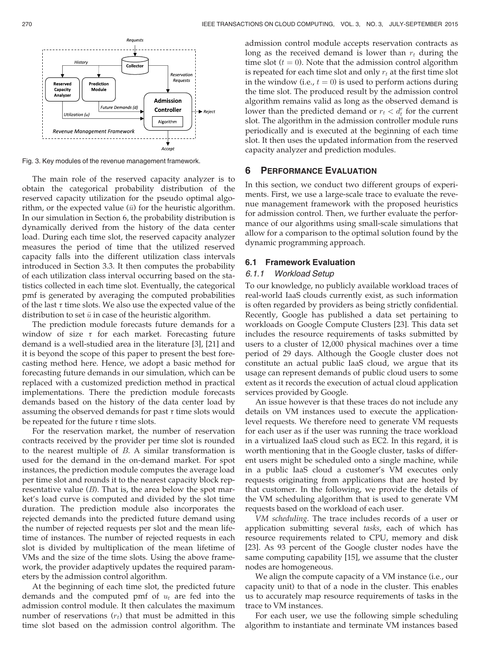

Fig. 3. Key modules of the revenue management framework.

The main role of the reserved capacity analyzer is to obtain the categorical probability distribution of the reserved capacity utilization for the pseudo optimal algorithm, or the expected value  $(\bar{u})$  for the heuristic algorithm. In our simulation in Section 6, the probability distribution is dynamically derived from the history of the data center load. During each time slot, the reserved capacity analyzer measures the period of time that the utilized reserved capacity falls into the different utilization class intervals introduced in Section 3.3. It then computes the probability of each utilization class interval occurring based on the statistics collected in each time slot. Eventually, the categorical pmf is generated by averaging the computed probabilities of the last  $\tau$  time slots. We also use the expected value of the distribution to set  $\bar{u}$  in case of the heuristic algorithm.

The prediction module forecasts future demands for a window of size  $\tau$  for each market. Forecasting future demand is a well-studied area in the literature [3], [21] and it is beyond the scope of this paper to present the best forecasting method here. Hence, we adopt a basic method for forecasting future demands in our simulation, which can be replaced with a customized prediction method in practical implementations. There the prediction module forecasts demands based on the history of the data center load by assuming the observed demands for past  $\tau$  time slots would be repeated for the future  $\tau$  time slots.

For the reservation market, the number of reservation contracts received by the provider per time slot is rounded to the nearest multiple of B. A similar transformation is used for the demand in the on-demand market. For spot instances, the prediction module computes the average load per time slot and rounds it to the nearest capacity block representative value  $(B)$ . That is, the area below the spot market's load curve is computed and divided by the slot time duration. The prediction module also incorporates the rejected demands into the predicted future demand using the number of rejected requests per slot and the mean lifetime of instances. The number of rejected requests in each slot is divided by multiplication of the mean lifetime of VMs and the size of the time slots. Using the above framework, the provider adaptively updates the required parameters by the admission control algorithm.

At the beginning of each time slot, the predicted future demands and the computed pmf of  $u_t$  are fed into the admission control module. It then calculates the maximum number of reservations  $(r_t)$  that must be admitted in this time slot based on the admission control algorithm. The

admission control module accepts reservation contracts as long as the received demand is lower than  $r_t$  during the time slot  $(t = 0)$ . Note that the admission control algorithm is repeated for each time slot and only  $r_t$  at the first time slot in the window (i.e.,  $t = 0$ ) is used to perform actions during the time slot. The produced result by the admission control algorithm remains valid as long as the observed demand is lower than the predicted demand or  $r_t < d_t^r$  for the current slot. The algorithm in the admission controller module runs periodically and is executed at the beginning of each time slot. It then uses the updated information from the reserved capacity analyzer and prediction modules.

# 6 PERFORMANCE EVALUATION

In this section, we conduct two different groups of experiments. First, we use a large-scale trace to evaluate the revenue management framework with the proposed heuristics for admission control. Then, we further evaluate the performance of our algorithms using small-scale simulations that allow for a comparison to the optimal solution found by the dynamic programming approach.

# 6.1 Framework Evaluation

#### 6.1.1 Workload Setup

To our knowledge, no publicly available workload traces of real-world IaaS clouds currently exist, as such information is often regarded by providers as being strictly confidential. Recently, Google has published a data set pertaining to workloads on Google Compute Clusters [23]. This data set includes the resource requirements of tasks submitted by users to a cluster of 12,000 physical machines over a time period of 29 days. Although the Google cluster does not constitute an actual public IaaS cloud, we argue that its usage can represent demands of public cloud users to some extent as it records the execution of actual cloud application services provided by Google.

An issue however is that these traces do not include any details on VM instances used to execute the applicationlevel requests. We therefore need to generate VM requests for each user as if the user was running the trace workload in a virtualized IaaS cloud such as EC2. In this regard, it is worth mentioning that in the Google cluster, tasks of different users might be scheduled onto a single machine, while in a public IaaS cloud a customer's VM executes only requests originating from applications that are hosted by that customer. In the following, we provide the details of the VM scheduling algorithm that is used to generate VM requests based on the workload of each user.

VM scheduling. The trace includes records of a user or application submitting several tasks, each of which has resource requirements related to CPU, memory and disk [23]. As 93 percent of the Google cluster nodes have the same computing capability [15], we assume that the cluster nodes are homogeneous.

We align the compute capacity of a VM instance (i.e., our capacity unit) to that of a node in the cluster. This enables us to accurately map resource requirements of tasks in the trace to VM instances.

For each user, we use the following simple scheduling algorithm to instantiate and terminate VM instances based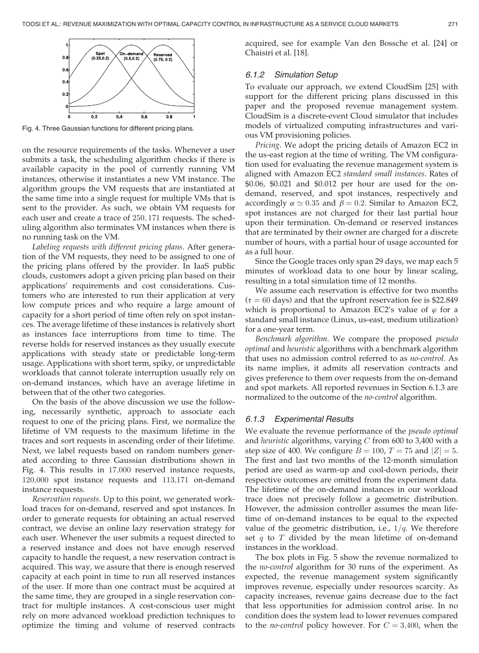

Fig. 4. Three Gaussian functions for different pricing plans.

on the resource requirements of the tasks. Whenever a user submits a task, the scheduling algorithm checks if there is available capacity in the pool of currently running VM instances, otherwise it instantiates a new VM instance. The algorithm groups the VM requests that are instantiated at the same time into a single request for multiple VMs that is sent to the provider. As such, we obtain VM requests for each user and create a trace of 250; 171 requests. The scheduling algorithm also terminates VM instances when there is no running task on the VM.

Labeling requests with different pricing plans. After generation of the VM requests, they need to be assigned to one of the pricing plans offered by the provider. In IaaS public clouds, customers adopt a given pricing plan based on their applications' requirements and cost considerations. Customers who are interested to run their application at very low compute prices and who require a large amount of capacity for a short period of time often rely on spot instances. The average lifetime of these instances is relatively short as instances face interruptions from time to time. The reverse holds for reserved instances as they usually execute applications with steady state or predictable long-term usage. Applications with short term, spiky, or unpredictable workloads that cannot tolerate interruption usually rely on on-demand instances, which have an average lifetime in between that of the other two categories.

On the basis of the above discussion we use the following, necessarily synthetic, approach to associate each request to one of the pricing plans. First, we normalize the lifetime of VM requests to the maximum lifetime in the traces and sort requests in ascending order of their lifetime. Next, we label requests based on random numbers generated according to three Gaussian distributions shown in Fig. 4. This results in 17;000 reserved instance requests, 120;000 spot instance requests and 113;171 on-demand instance requests.

Reservation requests. Up to this point, we generated workload traces for on-demand, reserved and spot instances. In order to generate requests for obtaining an actual reserved contract, we devise an online lazy reservation strategy for each user. Whenever the user submits a request directed to a reserved instance and does not have enough reserved capacity to handle the request, a new reservation contract is acquired. This way, we assure that there is enough reserved capacity at each point in time to run all reserved instances of the user. If more than one contract must be acquired at the same time, they are grouped in a single reservation contract for multiple instances. A cost-conscious user might rely on more advanced workload prediction techniques to optimize the timing and volume of reserved contracts acquired, see for example Van den Bossche et al. [24] or Chaisiri et al. [18].

#### 6.1.2 Simulation Setup

To evaluate our approach, we extend CloudSim [25] with support for the different pricing plans discussed in this paper and the proposed revenue management system. CloudSim is a discrete-event Cloud simulator that includes models of virtualized computing infrastructures and various VM provisioning policies.

Pricing. We adopt the pricing details of Amazon EC2 in the us-east region at the time of writing. The VM configuration used for evaluating the revenue management system is aligned with Amazon EC2 standard small instances. Rates of \$0.06, \$0.021 and \$0.012 per hour are used for the ondemand, reserved, and spot instances, respectively and accordingly  $\alpha \simeq 0.35$  and  $\beta = 0.2$ . Similar to Amazon EC2, spot instances are not charged for their last partial hour upon their termination. On-demand or reserved instances that are terminated by their owner are charged for a discrete number of hours, with a partial hour of usage accounted for as a full hour.

Since the Google traces only span 29 days, we map each 5 minutes of workload data to one hour by linear scaling, resulting in a total simulation time of 12 months.

We assume each reservation is effective for two months  $(\tau = 60 \text{ days})$  and that the upfront reservation fee is \$22.849 which is proportional to Amazon EC2's value of  $\varphi$  for a standard small instance (Linux, us-east, medium utilization) for a one-year term.

Benchmark algorithm. We compare the proposed pseudo optimal and heuristic algorithms with a benchmark algorithm that uses no admission control referred to as no-control. As its name implies, it admits all reservation contracts and gives preference to them over requests from the on-demand and spot markets. All reported revenues in Section 6.1.3 are normalized to the outcome of the *no-control* algorithm.

## 6.1.3 Experimental Results

We evaluate the revenue performance of the *pseudo optimal* and *heuristic* algorithms, varying  $C$  from 600 to 3,400 with a step size of 400. We configure  $B = 100$ ,  $T = 75$  and  $|Z| = 5$ . The first and last two months of the 12-month simulation period are used as warm-up and cool-down periods, their respective outcomes are omitted from the experiment data. The lifetime of the on-demand instances in our workload trace does not precisely follow a geometric distribution. However, the admission controller assumes the mean lifetime of on-demand instances to be equal to the expected value of the geometric distribution, i.e.,  $1/q$ . We therefore set  $q$  to  $T$  divided by the mean lifetime of on-demand instances in the workload.

The box plots in Fig. 5 show the revenue normalized to the no-control algorithm for 30 runs of the experiment. As expected, the revenue management system significantly improves revenue, especially under resources scarcity. As capacity increases, revenue gains decrease due to the fact that less opportunities for admission control arise. In no condition does the system lead to lower revenues compared to the *no-control* policy however. For  $C = 3,400$ , when the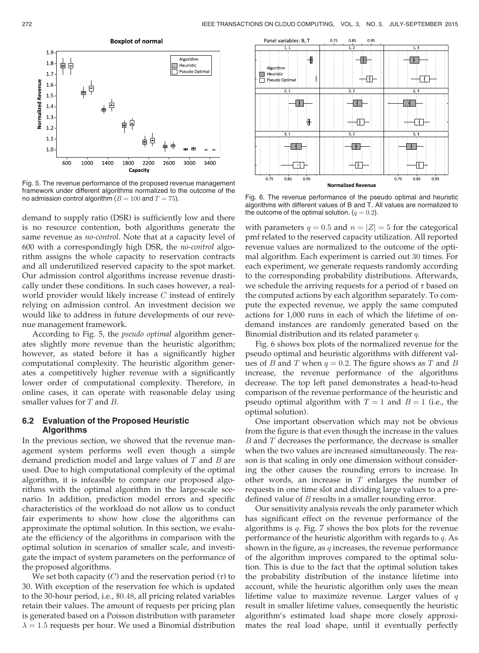

Fig. 5. The revenue performance of the proposed revenue management framework under different algorithms normalized to the outcome of the no admission control algorithm ( $B = 100$  and  $T = 75$ ).

demand to supply ratio (DSR) is sufficiently low and there is no resource contention, both algorithms generate the same revenue as no-control. Note that at a capacity level of 600 with a correspondingly high DSR, the no-control algorithm assigns the whole capacity to reservation contracts and all underutilized reserved capacity to the spot market. Our admission control algorithms increase revenue drastically under these conditions. In such cases however, a realworld provider would likely increase C instead of entirely relying on admission control. An investment decision we would like to address in future developments of our revenue management framework.

According to Fig. 5, the pseudo optimal algorithm generates slightly more revenue than the heuristic algorithm; however, as stated before it has a significantly higher computational complexity. The heuristic algorithm generates a competitively higher revenue with a significantly lower order of computational complexity. Therefore, in online cases, it can operate with reasonable delay using smaller values for T and B.

## 6.2 Evaluation of the Proposed Heuristic Algorithms

In the previous section, we showed that the revenue management system performs well even though a simple demand prediction model and large values of  $T$  and  $B$  are used. Due to high computational complexity of the optimal algorithm, it is infeasible to compare our proposed algorithms with the optimal algorithm in the large-scale scenario. In addition, prediction model errors and specific characteristics of the workload do not allow us to conduct fair experiments to show how close the algorithms can approximate the optimal solution. In this section, we evaluate the efficiency of the algorithms in comparison with the optimal solution in scenarios of smaller scale, and investigate the impact of system parameters on the performance of the proposed algorithms.

We set both capacity  $(C)$  and the reservation period  $(\tau)$  to 30. With exception of the reservation fee which is updated to the 30-hour period, i.e., \$0:48, all pricing related variables retain their values. The amount of requests per pricing plan is generated based on a Poisson distribution with parameter  $\lambda = 1.5$  requests per hour. We used a Binomial distribution



no admission control algorithm ( $B = 100$  and  $T = 75$ ).<br>algorithms with different values of B and T. All values are normalized to the outcome of the optimal solution.  $(q = 0.2)$ .

with parameters  $q = 0.5$  and  $n = |Z| = 5$  for the categorical pmf related to the reserved capacity utilization. All reported revenue values are normalized to the outcome of the optimal algorithm. Each experiment is carried out 30 times. For each experiment, we generate requests randomly according to the corresponding probability distributions. Afterwards, we schedule the arriving requests for a period of  $\tau$  based on the computed actions by each algorithm separately. To compute the expected revenue, we apply the same computed actions for 1,000 runs in each of which the lifetime of ondemand instances are randomly generated based on the Binomial distribution and its related parameter q.

Fig. 6 shows box plots of the normalized revenue for the pseudo optimal and heuristic algorithms with different values of *B* and *T* when  $q = 0.2$ . The figure shows as *T* and *B* increase, the revenue performance of the algorithms decrease. The top left panel demonstrates a head-to-head comparison of the revenue performance of the heuristic and pseudo optimal algorithm with  $T = 1$  and  $B = 1$  (i.e., the optimal solution).

One important observation which may not be obvious from the figure is that even though the increase in the values  $B$  and  $T$  decreases the performance, the decrease is smaller when the two values are increased simultaneously. The reason is that scaling in only one dimension without considering the other causes the rounding errors to increase. In other words, an increase in  $T$  enlarges the number of requests in one time slot and dividing large values to a predefined value of B results in a smaller rounding error.

Our sensitivity analysis reveals the only parameter which has significant effect on the revenue performance of the algorithms is  $q$ . Fig. 7 shows the box plots for the revenue performance of the heuristic algorithm with regards to q. As shown in the figure, as  $q$  increases, the revenue performance of the algorithm improves compared to the optimal solution. This is due to the fact that the optimal solution takes the probability distribution of the instance lifetime into account, while the heuristic algorithm only uses the mean lifetime value to maximize revenue. Larger values of  $q$ result in smaller lifetime values, consequently the heuristic algorithm's estimated load shape more closely approximates the real load shape, until it eventually perfectly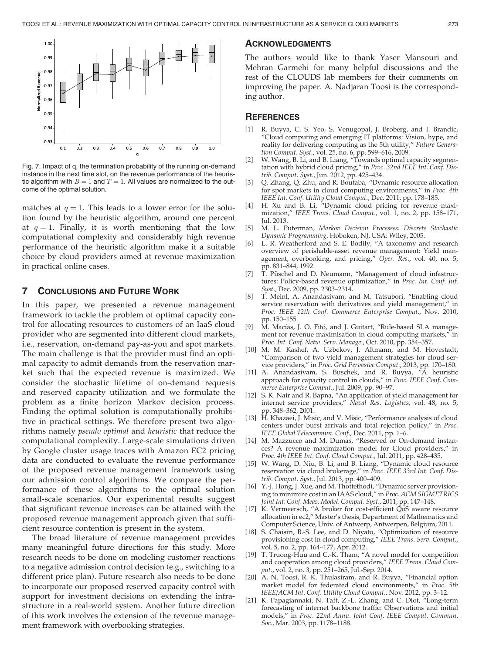

Fig. 7. Impact of q, the termination probability of the running on-demand instance in the next time slot, on the revenue performance of the heuristic algorithm with  $B = 1$  and  $T = 1$ . All values are normalized to the outcome of the optimal solution.

matches at  $q = 1$ . This leads to a lower error for the solution found by the heuristic algorithm, around one percent at  $q = 1$ . Finally, it is worth mentioning that the low computational complexity and considerably high revenue performance of the heuristic algorithm make it a suitable choice by cloud providers aimed at revenue maximization in practical online cases.

# 7 CONCLUSIONS AND FUTURE WORK

In this paper, we presented a revenue management framework to tackle the problem of optimal capacity control for allocating resources to customers of an IaaS cloud provider who are segmented into different cloud markets, i.e., reservation, on-demand pay-as-you and spot markets. The main challenge is that the provider must find an optimal capacity to admit demands from the reservation market such that the expected revenue is maximized. We consider the stochastic lifetime of on-demand requests and reserved capacity utilization and we formulate the problem as a finite horizon Markov decision process. Finding the optimal solution is computationally prohibitive in practical settings. We therefore present two algorithms namely pseudo optimal and heuristic that reduce the computational complexity. Large-scale simulations driven by Google cluster usage traces with Amazon EC2 pricing data are conducted to evaluate the revenue performance of the proposed revenue management framework using our admission control algorithms. We compare the performance of these algorithms to the optimal solution small-scale scenarios. Our experimental results suggest that significant revenue increases can be attained with the proposed revenue management approach given that sufficient resource contention is present in the system.

The broad literature of revenue management provides many meaningful future directions for this study. More research needs to be done on modeling customer reactions to a negative admission control decision (e.g., switching to a different price plan). Future research also needs to be done to incorporate our proposed reserved capacity control with support for investment decisions on extending the infrastructure in a real-world system. Another future direction of this work involves the extension of the revenue management framework with overbooking strategies.

# **ACKNOWLEDGMENTS**

The authors would like to thank Yaser Mansouri and Mehran Garmehi for many helpful discussions and the rest of the CLOUDS lab members for their comments on improving the paper. A. Nadjaran Toosi is the corresponding author.

#### **REFERENCES**

- [1] R. Buyya, C. S. Yeo, S. Venugopal, J. Broberg, and I. Brandic, "Cloud computing and emerging IT platforms: Vision, hype, and reality for delivering computing as the 5th utility," Future Generation Comput. Syst., vol. 25, no. 6, pp. 599–616, 2009.
- [2] W. Wang, B. Li, and B. Liang, "Towards optimal capacity segmentation with hybrid cloud pricing," in Proc. 32nd IEEE Int. Conf. Distrib. Comput. Syst., Jun. 2012, pp. 425–434.
- [3] Q. Zhang, Q. Zhu, and R. Boutaba, "Dynamic resource allocation for spot markets in cloud computing environments," in Proc. 4th IEEE Int. Conf. Utility Cloud Comput., Dec. 2011, pp. 178–185.
- [4] H. Xu and B. Li, "Dynamic cloud pricing for revenue maximization," IEEE Trans. Cloud Comput., vol. 1, no. 2, pp. 158–171, Jul. 2013.
- [5] M. L. Puterman, Markov Decision Processes: Discrete Stochastic Dynamic Programming. Hoboken, NJ, USA: Wiley, 2005.
- [6] L. R. Weatherford and S. E. Bodily, "A taxonomy and research overview of perishable-asset revenue management: Yield management, overbooking, and pricing," Oper. Res., vol. 40, no. 5, pp. 831–844, 1992.
- [7] T. Püschel and D. Neumann, "Management of cloud infastructures: Policy-based revenue optimization," in Proc. Int. Conf. Inf. Syst., Dec. 2009, pp. 2303–2314.
- [8] T. Meinl, A. Anandasivam, and M. Tatsubori, "Enabling cloud service reservation with derivatives and yield management," in Proc. IEEE 12th Conf. Commerce Enterprise Comput., Nov. 2010, pp. 150–155.
- [9] M. Macías, J. O. Fitó, and J. Guitart, "Rule-based SLA management for revenue maximisation in cloud computing markets," in Proc. Int. Conf. Netw. Serv. Manage., Oct. 2010, pp. 354–357.
- [10] M. M. Kashef, A. Uzbekov, J. Altmann, and M. Hovestadt, "Comparison of two yield management strategies for cloud service providers," in Proc. Grid Pervasive Comput., 2013, pp. 170–180.
- [11] A. Anandasivam, S. Buschek, and R. Buyya, "A heuristic approach for capacity control in clouds," in Proc. IEEE Conf. Commerce Enterprise Comput., Jul. 2009, pp. 90–97.
- [12] S. K. Nair and R. Bapna, "An application of yield management for internet service providers," Naval Res. Logistics, vol. 48, no. 5, pp. 348–362, 2001.
- [13] H. Khazaei, J. Misic, and V. Misic, "Performance analysis of cloud centers under burst arrivals and total rejection policy," in Proc. IEEE Global Telecommun. Conf., Dec. 2011, pp. 1–6.
- [14] M. Mazzucco and M. Dumas, "Reserved or On-demand instances? A revenue maximization model for Cloud providers," in Proc. 4th IEEE Int. Conf. Cloud Comput., Jul. 2011, pp. 428-435.
- [15] W. Wang, D. Niu, B. Li, and B. Liang, "Dynamic cloud resource reservation via cloud brokerage," in Proc. IEEE 33rd Int. Conf. Distrib. Comput. Syst., Jul. 2013, pp. 400–409.
- [16] Y.-J. Hong, J. Xue, and M. Thottethodi, "Dynamic server provisioning to minimize cost in an IAAS cloud," in Proc. ACM SIGMETRICS Joint Int. Conf. Meas. Model. Comput. Syst., 2011, pp. 147–148.
- [17] K. Vermeersch, "A broker for cost-efficient QoS aware resource allocation in ec2," Master's thesis, Department of Mathematics and Computer Science, Univ. of Antwerp, Antwerpen, Belgium, 2011.
- [18] S. Chaisiri, B.-S. Lee, and D. Niyato, "Optimization of resource provisioning cost in cloud computing," IEEE Trans. Serv. Comput., vol. 5, no. 2, pp. 164–177, Apr. 2012.
- [19] T. Truong-Huu and C.-K. Tham, "A novel model for competition and cooperation among cloud providers," IEEE Trans. Cloud Comput., vol. 2, no. 3, pp. 251–265, Jul.-Sep. 2014.
- [20] A. N. Toosi, R. K. Thulasiram, and R. Buyya, "Financial option market model for federated cloud environments," in Proc. 5th IEEE/ACM Int. Conf. Utility Cloud Comput., Nov. 2012, pp. 3–12.
- [21] K. Papagiannaki, N. Taft, Z.-L. Zhang, and C. Diot, "Long-term forecasting of internet backbone traffic: Observations and initial models," in Proc. 22nd Annu. Joint Conf. IEEE Comput. Commun. Soc., Mar. 2003, pp. 1178–1188.